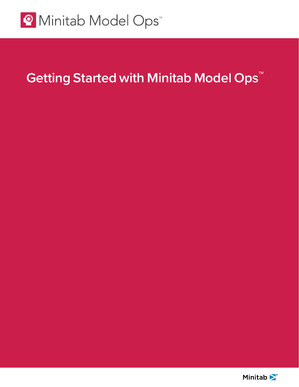

# **Getting Started with Minitab Model Ops™**

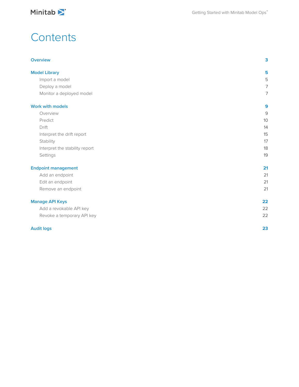

## **Contents**

### **[Overview](#page-2-0) 3**

| <b>Model Library</b>           | 5  |
|--------------------------------|----|
| Import a model                 | 5  |
| Deploy a model                 | 7  |
| Monitor a deployed model       | 7  |
| <b>Work with models</b>        | 9  |
| Overview                       | 9  |
| Predict                        | 10 |
| Drift                          | 14 |
| Interpret the drift report     | 15 |
| Stability                      | 17 |
| Interpret the stability report | 18 |
| Settings                       | 19 |
| <b>Endpoint management</b>     | 21 |
| Add an endpoint                | 21 |
| Edit an endpoint               | 21 |
| Remove an endpoint             | 21 |
| <b>Manage API Keys</b>         | 22 |
| Add a revokable API key        | 22 |
| Revoke a temporary API key     | 22 |
| <b>Audit logs</b>              | 23 |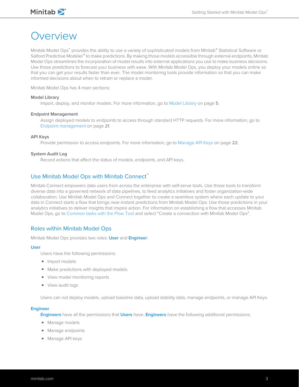## <span id="page-2-0"></span>Overview

Minitab Model Ops™ provides the ability to use a variety of sophisticated models from Minitab® Statistical Software or Salford Predictive Modeler® to make predictions. By making those models accessible through external endpoints, Minitab Model Ops streamlines the incorporation of model results into external applications you use to make business decisions. Use those predictions to forecast your business with ease. With Minitab Model Ops, you deploy your models online so that you can get your results faster than ever. The model monitoring tools provide information so that you can make informed decisions about when to retrain or replace a model.

Minitab Model Ops has 4 main sections:

### **Model Library**

Import, deploy, and monitor models. For more information, go to [Model Library](#page-4-0) on page 5.

### **Endpoint Management**

Assign deployed models to endpoints to access through standard HTTP requests. For more information, go to [Endpoint management](#page-20-0) on page 21.

### **API Keys**

Provide permission to access endpoints. For more information, go to [Manage API Keys](#page-21-0) on page 22.

### **System Audit Log**

Record actions that affect the status of models, endpoints, and API keys.

### Use Minitab Model Ops with Minitab Connect™

Minitab Connect empowers data users from across the enterprise with self-serve tools. Use those tools to transform diverse data into a governed network of data pipelines, to feed analytics initiatives and foster organization-wide collaboration. Use Minitab Model Ops and Connect together to create a seamless system where each update to your data in Connect starts a flow that brings near-instant predictions from Minitab Model Ops. Use those predictions in your analytics initiatives to deliver insights that inspire action. For information on establishing a flow that accesses Minitab Model Ops, go to [Common tasks with the Flow Tool](https://support.minitab.com/connect/workflow-tools/create-data-flows-with-the-flow-tool/basics/common-tasks/) and select "Create a connection with Minitab Model Ops".

### Roles within Minitab Model Ops

Minitab Model Ops provides two roles: **User** and **Engineer**:

#### **User**

Users have the following permissions:

- Import models
- Make predictions with deployed models
- View model monitoring reports
- View audit logs

Users can not deploy models, upload baseline data, upload stability data, manage endpoints, or manage API Keys.

#### **Engineer**

**Engineers** have all the permissions that **Users** have. **Engineers** have the following additional permissions:

- Manage models
- Manage endpoints
- Manage API keys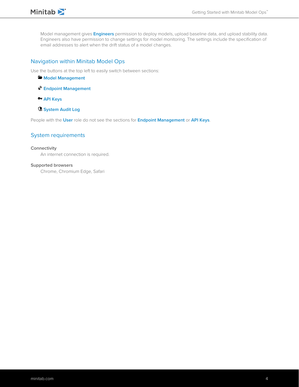

Model management gives **Engineers** permission to deploy models, upload baseline data, and upload stability data. Engineers also have permission to change settings for model monitoring. The settings include the specification of email addresses to alert when the drift status of a model changes.

### Navigation within Minitab Model Ops

Use the buttons at the top left to easily switch between sections:

- **Model Management**
- **Endpoint Management**
- **API Keys**
- **System Audit Log**

People with the **User** role do not see the sections for **Endpoint Management** or **API Keys**.

### System requirements

#### **Connectivity**

An internet connection is required.

### **Supported browsers**

Chrome, Chromium Edge, Safari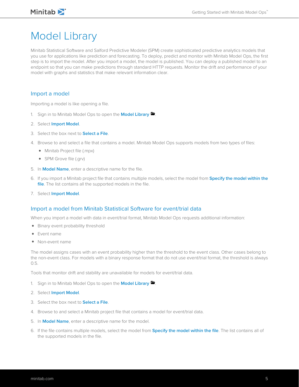## <span id="page-4-0"></span>Model Library

Minitab Statistical Software and Salford Predictive Modeler (SPM) create sophisticated predictive analytics models that you use for applications like prediction and forecasting. To deploy, predict and monitor with Minitab Model Ops, the first step is to import the model. After you import a model, the model is published. You can deploy a published model to an endpoint so that you can make predictions through standard HTTP requests. Monitor the drift and performance of your model with graphs and statistics that make relevant information clear.

### <span id="page-4-1"></span>Import a model

Importing a model is like opening a file.

- 1. Sign in to Minitab Model Ops to open the **Model Library**
- 2. Select **Import Model**.
- 3. Select the box next to **Select a File**.
- 4. Browse to and select a file that contains a model. Minitab Model Ops supports models from two types of files:
	- Minitab Project file (.mpx)
	- SPM Grove file (.grv)
- 5. In **Model Name**, enter a descriptive name for the file.
- 6. If you import a Minitab project file that contains multiple models, select the model from **Specify the model within the file**. The list contains all the supported models in the file.
- 7. Select **Import Model**.

### Import a model from Minitab Statistical Software for event/trial data

When you import a model with data in event/trial format, Minitab Model Ops requests additional information:

- Binary event probability threshold
- Event name
- Non-event name

The model assigns cases with an event probability higher than the threshold to the event class. Other cases belong to the non-event class. For models with a binary response format that do not use event/trial format, the threshold is always 0.5.

Tools that monitor drift and stability are unavailable for models for event/trial data.

- 1. Sign in to Minitab Model Ops to open the **Model Library .**
- 2. Select **Import Model**.
- 3. Select the box next to **Select a File**.
- 4. Browse to and select a Minitab project file that contains a model for event/trial data.
- 5. In **Model Name**, enter a descriptive name for the model.
- 6. If the file contains multiple models, select the model from **Specify the model within the file**. The list contains all of the supported models in the file.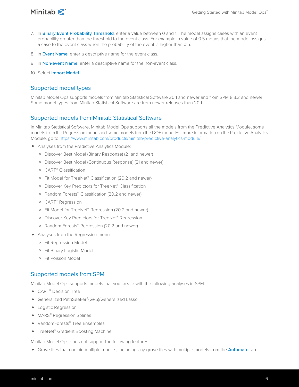- Minitab<sup>y</sup>
- 7. In **Binary Event Probability Threshold**, enter a value between 0 and 1. The model assigns cases with an event probability greater than the threshold to the event class. For example, a value of 0.5 means that the model assigns a case to the event class when the probability of the event is higher than 0.5.
- 8. In **Event Name**, enter a descriptive name for the event class.
- 9. In **Non-event Name**, enter a descriptive name for the non-event class.
- 10. Select **Import Model**.

### Supported model types

Minitab Model Ops supports models from Minitab Statistical Software 20.1 and newer and from SPM 8.3.2 and newer. Some model types from Minitab Statistical Software are from newer releases than 20.1.

### Supported models from Minitab Statistical Software

In Minitab Statistical Software, Minitab Model Ops supports all the models from the Predictive Analytics Module, some models from the Regression menu, and some models from the DOE menu. For more information on the Predictive Analytics Module, go to [https://www.minitab.com/products/minitab/predictive-analytics-module/:](https://www.minitab.com/products/minitab/predictive-analytics-module/)

- Analyses from the Predictive Analytics Module:
	- Discover Best Model (Binary Response) (21 and newer)
	- Discover Best Model (Continuous Response) (21 and newer)
	- CART® Classification
	- Fit Model for TreeNet® Classification (20.2 and newer)
	- Discover Key Predictors for TreeNet® Classification
	- Random Forests® Classification (20.2 and newer)
	- CART® Regression
	- Fit Model for TreeNet® Regression (20.2 and newer)
	- Discover Key Predictors for TreeNet® Regression
	- Random Forests® Regression (20.2 and newer)
- Analyses from the Regression menu:
	- Fit Regression Model
	- Fit Binary Logistic Model
	- Fit Poisson Model

### Supported models from SPM

Minitab Model Ops supports models that you create with the following analyses in SPM:

- CART<sup>®</sup> Decision Tree
- Generalized PathSeeker®(GPS)/Generalized Lasso
- Logistic Regression
- MARS<sup>®</sup> Regression Splines
- RandomForests® Tree Ensembles
- TreeNet<sup>®</sup> Gradient Boosting Machine

Minitab Model Ops does not support the following features:

• Grove files that contain multiple models, including any grove files with multiple models from the **Automate** tab.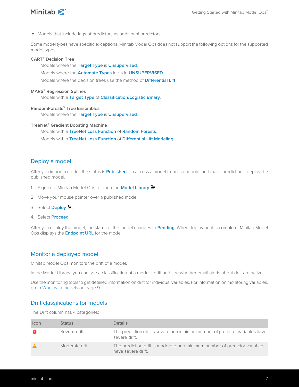

• Models that include lags of predictors as additional predictors.

Some model types have specific exceptions. Minitab Model Ops does not support the following options for the supported model types:

### **CART® Decision Tree**

Models where the **Target Type** is **Unsupervised**.

Models where the **Automate Types** include **UNSUPERVISED**.

Models where the decision trees use the method of **Differential Lift**.

### **MARS® Regression Splines**

Models with a **Target Type** of **Classification/Logistic Binary**.

### **RandomForests® Tree Ensembles**

Models where the **Target Type** is **Unsupervised**.

### **TreeNet® Gradient Boosting Machine**

Models with a **TreeNet Loss Function** of **Random Forests**.

<span id="page-6-0"></span>Models with a **TreeNet Loss Function** of **Differential Lift Modeling**.

### Deploy a model

After you import a model, the status is **Published**. To access a model from its endpoint and make predictions, deploy the published model.

- 1. Sign in to Minitab Model Ops to open the **Model Library**  $\blacksquare$ .
- 2. Move your mouse pointer over a published model.
- 3. Select **Deploy** .
- 4. Select **Proceed**.

<span id="page-6-1"></span>After you deploy the model, the status of the model changes to **Pending**. When deployment is complete, Minitab Model Ops displays the **Endpoint URL** for the model.

### Monitor a deployed model

Minitab Model Ops monitors the drift of a model.

In the Model Library, you can see a classification of a model's drift and see whether email alerts about drift are active.

Use the monitoring tools to get detailed information on drift for individual variables. For information on monitoring variables, go to [Work with models](#page-8-0) on page 9.

### Drift classifications for models

The Drift column has 4 categories:

| <b>Icon</b> | <b>Status</b>  | <b>Details</b>                                                                                    |
|-------------|----------------|---------------------------------------------------------------------------------------------------|
| œ           | Severe drift   | The prediction drift is severe or a minimum number of predictor variables have<br>severe drift.   |
|             | Moderate drift | The prediction drift is moderate or a minimum number of predictor variables<br>have severe drift. |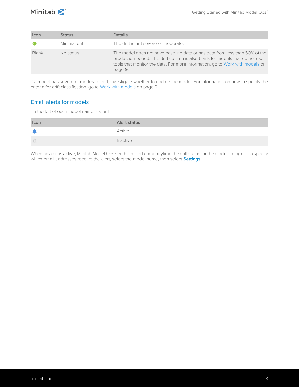| Icon  | <b>Status</b> | <b>Details</b>                                                                                                                                                                                                                                         |
|-------|---------------|--------------------------------------------------------------------------------------------------------------------------------------------------------------------------------------------------------------------------------------------------------|
|       | Minimal drift | The drift is not severe or moderate.                                                                                                                                                                                                                   |
| Blank | No status     | The model does not have baseline data or has data from less than 50% of the<br>production period. The drift column is also blank for models that do not use<br>tools that monitor the data. For more information, go to Work with models on<br>page 9. |

If a model has severe or moderate drift, investigate whether to update the model. For information on how to specify the criteria for drift classification, go to [Work with models](#page-8-0) on page 9.

### Email alerts for models

To the left of each model name is a bell.

| Icon     | Alert status |
|----------|--------------|
|          | Active       |
| $\Delta$ | Inactive     |

When an alert is active, Minitab Model Ops sends an alert email anytime the drift status for the model changes. To specify which email addresses receive the alert, select the model name, then select **Settings**.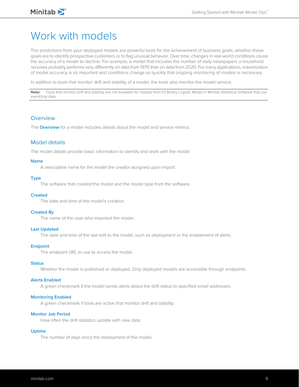## <span id="page-8-0"></span>Work with models

The predictions from your deployed models are powerful tools for the achievement of business goals, whether those goals are to identify prospective customers or to flag unusual behavior. Over time, changes in real-world conditions cause the accuracy of a model to decline. For example, a model that includes the number of daily newspapers a household receives probably performs very differently on data from 1970 than on data from 2020. For many applications, maximization of model accuracy is so important and conditions change so quickly that ongoing monitoring of models is necessary.

In addition to tools that monitor drift and stability of a model, the tools also monitor the model service.

**Note:** Tools that monitor drift and stability are not available for models from Fit Binary Logistic Model in Minitab Statistical Software that use event/trial data.

### <span id="page-8-1"></span>**Overview**

The **Overview** for a model includes details about the model and service metrics.

### Model details

The model details provide basic information to identify and work with the model:

### **Name**

A descriptive name for the model the creator assigned upon import.

### **Type**

The software that created the model and the model type from the software.

#### **Created**

The date and time of the model's creation.

#### **Created By**

The name of the user who imported the model.

#### **Last Updated**

The date and time of the last edit to the model, such as deployment or the enablement of alerts.

#### **Endpoint**

The endpoint URL to use to access the model.

### **Status**

Whether the model is published or deployed. Only deployed models are accessible through endpoints.

#### **Alerts Enabled**

A green checkmark if the model sends alerts about the drift status to specified email addresses.

#### **Monitoring Enabled**

A green checkmark if tools are active that monitor drift and stability.

#### **Monitor Job Period**

How often the drift statistics update with new data.

#### **Uptime**

The number of days since the deployment of the model.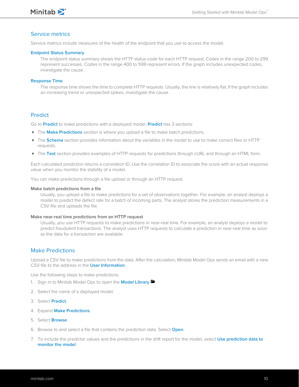

### Service metrics

Service metrics include measures of the health of the endpoint that you use to access the model.

### **Endpoint Status Summary**

The endpoint status summary shows the HTTP status code for each HTTP request. Codes in the range 200 to 299 represent successes. Codes in the range 400 to 599 represent errors. If the graph includes unexpected codes, investigate the cause.

### **Response Time**

The response time shows the time to complete HTTP requests. Usually, the line is relatively flat. If the graph includes an increasing trend or unexpected spikes, investigate the cause.

### <span id="page-9-0"></span>**Predict**

Go to **Predict** to make predictions with a deployed model. **Predict** has 3 sections:

- The **Make Predictions** section is where you upload a file to make batch predictions.
- The **Schema** section provides information about the variables in the model to use to make correct files or HTTP requests.
- The **Test** section provides examples of HTTP requests for predictions through cURL and through an HTML form.

Each calculated prediction returns a correlation ID. Use the correlation ID to associate the score with an actual response value when you monitor the stability of a model.

You can make predictions through a file upload or through an HTTP request.

### **Make batch predictions from a file**

Usually, you upload a file to make predictions for a set of observations together. For example, an analyst deploys a model to predict the defect rate for a batch of incoming parts. The analyst stores the prediction measurements in a CSV file and uploads the file.

### **Make near-real time predictions from an HTTP request**

Usually, you use HTTP requests to make predictions in near-real time. For example, an analyst deploys a model to predict fraudulent transactions. The analyst uses HTTP requests to calculate a prediction in near-real time as soon as the data for a transaction are available.

### Make Predictions

Upload a CSV file to make predictions from the data. After the calculation, Minitab Model Ops sends an email with a new CSV file to the address in the **User Information**.

Use the following steps to make predictions.

- 1. Sign in to Minitab Model Ops to open the **Model Library**  $\blacksquare$ .
- 2. Select the name of a deployed model.
- 3. Select **Predict**.
- 4. Expand **Make Predictions**.
- 5. Select **Browse**.
- 6. Browse to and select a file that contains the prediction data. Select **Open**.
- 7. To include the predictor values and the predictions in the drift report for the model, select **Use prediction data to monitor the model**.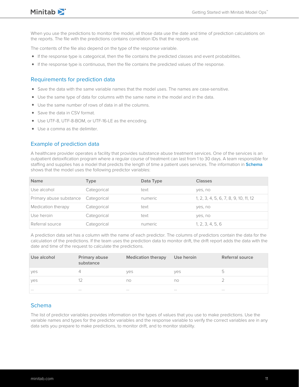

Minitab<sup>></sup>

When you use the predictions to monitor the model, all those data use the date and time of prediction calculations on the reports. The file with the predictions contains correlation IDs that the reports use.

The contents of the file also depend on the type of the response variable.

- If the response type is categorical, then the file contains the predicted classes and event probabilities.
- If the response type is continuous, then the file contains the predicted values of the response.

### Requirements for prediction data

- Save the data with the same variable names that the model uses. The names are case-sensitive.
- Use the same type of data for columns with the same name in the model and in the data.
- Use the same number of rows of data in all the columns.
- Save the data in CSV format.
- Use UTF-8, UTF-8-BOM, or UTF-16-LE as the encoding.
- Use a comma as the delimiter.

### Example of prediction data

A healthcare provider operates a facility that provides substance abuse treatment services. One of the services is an outpatient detoxification program where a regular course of treatment can last from 1 to 30 days. A team responsible for staffing and supplies has a model that predicts the length of time a patient uses services. The information in **Schema** shows that the model uses the following predictor variables:

| <b>Name</b>                         | Type        | Data Type | <b>Classes</b>                        |
|-------------------------------------|-------------|-----------|---------------------------------------|
| Use alcohol                         | Categorical | text      | yes, no                               |
| Primary abuse substance Categorical |             | numeric   | 1, 2, 3, 4, 5, 6, 7, 8, 9, 10, 11, 12 |
| Medication therapy                  | Categorical | text      | yes, no                               |
| Use heroin                          | Categorical | text      | yes, no                               |
| Referral source                     | Categorical | numeric   | 1, 2, 3, 4, 5, 6                      |

A prediction data set has a column with the name of each predictor. The columns of predictors contain the data for the calculation of the predictions. If the team uses the prediction data to monitor drift, the drift report adds the data with the date and time of the request to calculate the predictions.

| Use alcohol | Primary abuse<br>substance | <b>Medication therapy</b> | Use heroin | Referral source |
|-------------|----------------------------|---------------------------|------------|-----------------|
| yes         |                            | ves                       | ves        | 5.              |
| yes         |                            | no                        | no         |                 |
| $\cdots$    | $\cdots$                   | $\cdots$                  | $\cdots$   | $\cdots$        |

### Schema

The list of predictor variables provides information on the types of values that you use to make predictions. Use the variable names and types for the predictor variables and the response variable to verify the correct variables are in any data sets you prepare to make predictions, to monitor drift, and to monitor stability.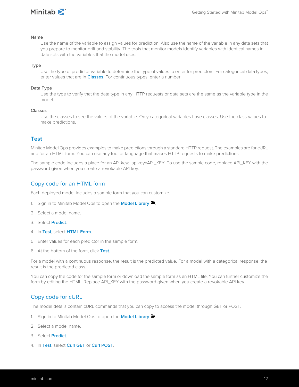### **Name**

Use the name of the variable to assign values for prediction. Also use the name of the variable in any data sets that you prepare to monitor drift and stability. The tools that monitor models identify variables with identical names in data sets with the variables that the model uses.

#### **Type**

Use the type of predictor variable to determine the type of values to enter for predictors. For categorical data types, enter values that are in **Classes**. For continuous types, enter a number.

### **Data Type**

Use the type to verify that the data type in any HTTP requests or data sets are the same as the variable type in the model.

#### **Classes**

Use the classes to see the values of the variable. Only categorical variables have classes. Use the class values to make predictions.

### **Test**

Minitab Model Ops provides examples to make predictions through a standard HTTP request. The examples are for cURL and for an HTML form. You can use any tool or language that makes HTTP requests to make predictions.

The sample code includes a place for an API key: apikey=API\_KEY. To use the sample code, replace API\_KEY with the password given when you create a revokable API key.

### Copy code for an HTML form

Each deployed model includes a sample form that you can customize.

- 1. Sign in to Minitab Model Ops to open the **Model Library**
- 2. Select a model name.
- 3. Select **Predict**.
- 4. In **Test**, select **HTML Form**.
- 5. Enter values for each predictor in the sample form.
- 6. At the bottom of the form, click **Test**.

For a model with a continuous response, the result is the predicted value. For a model with a categorical response, the result is the predicted class.

You can copy the code for the sample form or download the sample form as an HTML file. You can further customize the form by editing the HTML. Replace API\_KEY with the password given when you create a revokable API key.

### Copy code for cURL

The model details contain cURL commands that you can copy to access the model through GET or POST.

- 1. Sign in to Minitab Model Ops to open the **Model Library .**
- 2. Select a model name.
- 3. Select **Predict**.
- 4. In **Test**, select **Curl GET** or **Curl POST**.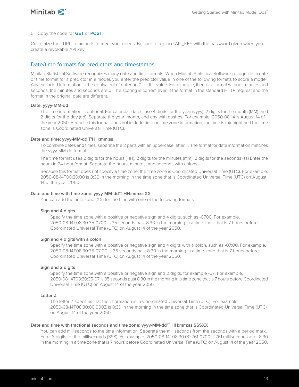### 5. Copy the code for **GET** or **POST**.

Customize the cURL commands to meet your needs. Be sure to replace API\_KEY with the password given when you create a revokable API key.

### Date/time formats for predictors and timestamps

Minitab Statistical Software recognizes many date and time formats. When Minitab Statistical Software recognizes a date or time format for a predictor in a model, you enter the predictor value in one of the following formats to score a model. Any excluded information is the equivalent of entering 0 for the value. For example, if enter a format without minutes and seconds, the minutes and seconds are 0. The scoring is correct even if the format in the standard HTTP request and the format in the original data are different.

### **Date: yyyy-MM-dd**

The time information is optional. For calendar dates, use 4 digits for the year (yyyy), 2 digits for the month (MM), and 2 digits for the day (dd). Separate the year, month, and day with dashes. For example, 2050-08-14 is August 14 of the year 2050. Because this format does not include time or time zone information, the time is midnight and the time zone is Coordinated Universal Time (UTC).

#### **Date and time: yyyy-MM-dd'T'HH:mm:ss**

To combine dates and times, separate the 2 parts with an uppercase letter T. The format for date information matches the yyyy-MM-dd format.

The time format uses 2 digits for the hours (HH), 2 digits for the minutes (mm), 2 digits for the seconds (ss) Enter the hours in 24-hour format. Separate the hours, minutes, and seconds with colons.

Because this format does not specify a time zone, the time zone is Coordinated Universal Time (UTC). For example, 2050-08-14T08:30:00 is 8:30 in the morning in the time zone that is Coordinated Universal Time (UTC) on August 14 of the year 2050.

### **Date and time with time zone: yyyy-MM-dd'T'HH:mm:ssXX**

You can add the time zone (XX) for the time with one of the following formats:

#### **Sign and 4 digits**

Specify the time zone with a positive or negative sign and 4 digits, such as -0700. For example, 2050-08-14T08:30:35-0700 is 35 seconds past 8:30 in the morning in a time zone that is 7 hours before Coordinated Universal Time (UTC) on August 14 of the year 2050.

#### **Sign and 4 digits with a colon**

Specify the time zone with a positive or negative sign and 4 digits with a colon, such as -07:00. For example, 2050-08-14T08:30:35-07:00 is 35 seconds past 8:30 in the morning in a time zone that is 7 hours before Coordinated Universal Time (UTC) on August 14 of the year 2050.

#### **Sign and 2 digits**

Specify the time zone with a positive or negative sign and 2 digits, for example -07. For example, 2050-08-14T08:30:35-07 is 35 seconds past 8:30 in the morning in a time zone that is 7 hours before Coordinated Universal Time (UTC) on August 14 of the year 2050.

### **Letter Z**

The letter Z specifies that the information is in Coordinated Universal Time (UTC). For example, 2050-08-14T08:30:00.000Z is 8:30 in the morning in the time zone that is Coordinated Universal Time (UTC) on August 14 of the year 2050.

#### **Date and time with fractional seconds and time zone: yyyy-MM-dd'T'HH:mm:ss.SSSXX**

You can add milliseconds to the time information. Separate the milliseconds from the seconds with a period mark. Enter 3 digits for the milliseconds (SSS). For example, 2050-08-14T08:30:00.761-0700 is 761 milliseconds after 8:30 in the morning in a time zone that is 7 hours before Coordinated Universal Time (UTC) on August 14 of the year 2050.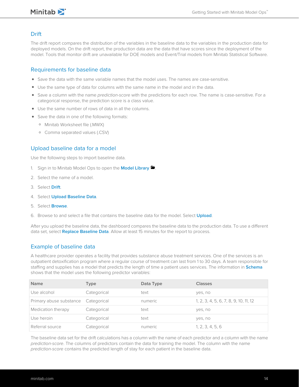### Minitab<sup>y</sup>

### <span id="page-13-0"></span>**Drift**

The drift report compares the distribution of the variables in the baseline data to the variables in the production data for deployed models. On the drift report, the production data are the data that have scores since the deployment of the model. Tools that monitor drift are unavailable for DOE models and Event/Trial models from Minitab Statistical Software.

### Requirements for baseline data

- Save the data with the same variable names that the model uses. The names are case-sensitive.
- Use the same type of data for columns with the same name in the model and in the data.
- Save a column with the name prediction-score with the predictions for each row. The name is case-sensitive. For a categorical response, the prediction score is a class value.
- Use the same number of rows of data in all the columns.
- Save the data in one of the following formats:
	- Minitab Worksheet file (.MWX)
	- Comma separated values (.CSV)

### Upload baseline data for a model

Use the following steps to import baseline data.

- 1. Sign in to Minitab Model Ops to open the **Model Library**
- 2. Select the name of a model.
- 3. Select **Drift**.
- 4. Select **Upload Baseline Data**.
- 5. Select **Browse**.
- 6. Browse to and select a file that contains the baseline data for the model. Select **Upload**.

After you upload the baseline data, the dashboard compares the baseline data to the production data. To use a different data set, select **Replace Baseline Data**. Allow at least 15 minutes for the report to process.

### Example of baseline data

A healthcare provider operates a facility that provides substance abuse treatment services. One of the services is an outpatient detoxification program where a regular course of treatment can last from 1 to 30 days. A team responsible for staffing and supplies has a model that predicts the length of time a patient uses services. The information in **Schema** shows that the model uses the following predictor variables:

| <b>Name</b>                         | Type        | Data Type | <b>Classes</b>                        |
|-------------------------------------|-------------|-----------|---------------------------------------|
| Use alcohol                         | Categorical | text      | yes, no                               |
| Primary abuse substance Categorical |             | numeric   | 1, 2, 3, 4, 5, 6, 7, 8, 9, 10, 11, 12 |
| Medication therapy                  | Categorical | text      | yes, no                               |
| Use heroin                          | Categorical | text      | yes, no                               |
| Referral source                     | Categorical | numeric   | 1, 2, 3, 4, 5, 6                      |

The baseline data set for the drift calculations has a column with the name of each predictor and a column with the name prediction-score. The columns of predictors contain the data for training the model. The column with the name prediction-score contains the predicted length of stay for each patient in the baseline data.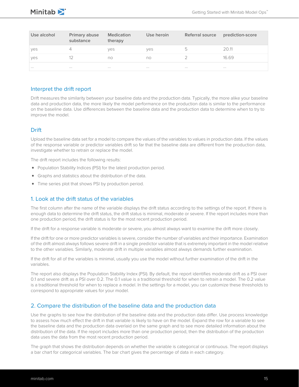| Use alcohol | Primary abuse<br>substance | <b>Medication</b><br>therapy | Use heroin | Referral source | prediction-score |
|-------------|----------------------------|------------------------------|------------|-----------------|------------------|
| yes         |                            | ves                          | ves        | b               | 20.11            |
| yes         |                            | no                           | no         |                 | 16.69            |
| $\cdots$    | $\cdots$                   | $\cdots$                     | $\cdots$   | $\cdots$        | $\cdots$         |

### <span id="page-14-0"></span>Interpret the drift report

Drift measures the similarity between your baseline data and the production data. Typically, the more alike your baseline data and production data, the more likely the model performance on the production data is similar to the performance on the baseline data. Use differences between the baseline data and the production data to determine when to try to improve the model.

### **Drift**

Upload the baseline data set for a model to compare the values of the variables to values in production data. If the values of the response variable or predictor variables drift so far that the baseline data are different from the production data, investigate whether to retrain or replace the model.

The drift report includes the following results:

- Population Stability Indices (PSI) for the latest production period.
- Graphs and statistics about the distribution of the data.
- Time series plot that shows PSI by production period.

### 1. Look at the drift status of the variables

The first column after the name of the variable displays the drift status according to the settings of the report. If there is enough data to determine the drift status, the drift status is minimal, moderate or severe. If the report includes more than one production period, the drift status is for the most recent production period.

If the drift for a response variable is moderate or severe, you almost always want to examine the drift more closely.

If the drift for one or more predictor variables is severe, consider the number of variables and their importance. Examination of the drift almost always follows severe drift in a single predictor variable that is extremely important in the model relative to the other variables. Similarly, moderate drift in multiple variables almost always demands further examination.

If the drift for all of the variables is minimal, usually you use the model without further examination of the drift in the variables.

The report also displays the Population Stability Index (PSI). By default, the report identifies moderate drift as a PSI over 0.1 and severe drift as a PSI over 0.2. The 0.1 value is a traditional threshold for when to retrain a model. The 0.2 value is a traditional threshold for when to replace a model. In the settings for a model, you can customize these thresholds to correspond to appropriate values for your model.

### 2. Compare the distribution of the baseline data and the production data

Use the graphs to see how the distribution of the baseline data and the production data differ. Use process knowledge to assess how much effect the drift in that variable is likely to have on the model. Expand the row for a variable to see the baseline data and the production data overlaid on the same graph and to see more detailed information about the distribution of the data. If the report includes more than one production period, then the distribution of the production data uses the data from the most recent production period.

The graph that shows the distribution depends on whether the variable is categorical or continuous. The report displays a bar chart for categorical variables. The bar chart gives the percentage of data in each category.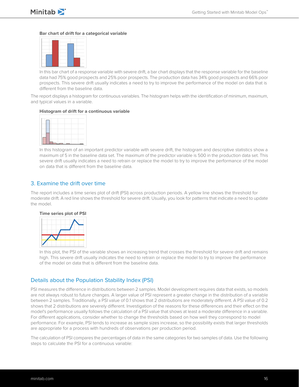

#### **Bar chart of drift for a categorical variable**



In this bar chart of a response variable with severe drift, a bar chart displays that the response variable for the baseline data had 75% good prospects and 25% poor prospects. The production data has 34% good prospects and 66% poor prospects. This severe drift usually indicates a need to try to improve the performance of the model on data that is different from the baseline data.

The report displays a histogram for continuous variables. The histogram helps with the identification of minimum, maximum, and typical values in a variable.

#### **Histogram of drift for a continuous variable**



In this histogram of an important predictor variable with severe drift, the histogram and descriptive statistics show a maximum of 5 in the baseline data set. The maximum of the predictor variable is 500 in the production data set. This severe drift usually indicates a need to retrain or replace the model to try to improve the performance of the model on data that is different from the baseline data.

### 3. Examine the drift over time

The report includes a time series plot of drift (PSI) across production periods. A yellow line shows the threshold for moderate drift. A red line shows the threshold for severe drift. Usually, you look for patterns that indicate a need to update the model.

### **Time series plot of PSI**



In this plot, the PSI of the variable shows an increasing trend that crosses the threshold for severe drift and remains high. This severe drift usually indicates the need to retrain or replace the model to try to improve the performance of the model on data that is different from the baseline data.

### Details about the Population Stability Index (PSI)

PSI measures the difference in distributions between 2 samples. Model development requires data that exists, so models are not always robust to future changes. A larger value of PSI represent a greater change in the distribution of a variable between 2 samples. Traditionally, a PSI value of 0.1 shows that 2 distributions are moderately different. A PSI value of 0.2 shows that 2 distributions are severely different. Investigation of the reasons for these differences and their effect on the model's performance usually follows the calculation of a PSI value that shows at least a moderate difference in a variable. For different applications, consider whether to change the thresholds based on how well they correspond to model performance. For example, PSI tends to increase as sample sizes increase, so the possibility exists that larger thresholds are appropriate for a process with hundreds of observations per production period.

The calculation of PSI compares the percentages of data in the same categories for two samples of data. Use the following steps to calculate the PSI for a continuous variable: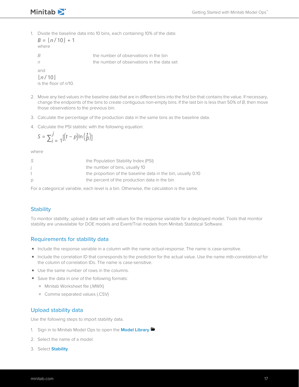Minitab<sup>y</sup>

1. Divide the baseline data into 10 bins, each containing 10% of the data:

 $B = \lfloor n/10 \rfloor + 1$ where B the number of observations in the bin  $n \rightarrow \infty$  the number of observations in the data set and  $\lfloor n/10 \rfloor$ 

is the floor of n/10.

- 2. Move any tied values in the baseline data that are in different bins into the first bin that contains the value. If necessary, change the endpoints of the bins to create contiguous non-empty bins. If the last bin is less than 50% of B, then move those observations to the previous bin.
- 3. Calculate the percentage of the production data in the same bins as the baseline data.
- 4. Calculate the PSI statistic with the following equation:

$$
S = \sum_{i=1}^{j} \left[ \left( t - p \right) \ln \left( \frac{t}{p} \right) \right]
$$

where

|    | the Population Stability Index (PSI)                         |
|----|--------------------------------------------------------------|
|    | the number of bins, usually 10                               |
| t. | the proportion of the baseline data in the bin, usually 0.10 |
| D  | the percent of the production data in the bin                |
|    |                                                              |

<span id="page-16-0"></span>For a categorical variable, each level is a bin. Otherwise, the calculation is the same.

### **Stability**

To monitor stability, upload a data set with values for the response variable for a deployed model. Tools that monitor stability are unavailable for DOE models and Event/Trial models from Minitab Statistical Software.

### Requirements for stability data

- Include the response variable in a column with the name actual-response. The name is case-sensitive.
- Include the correlation ID that corresponds to the prediction for the actual value. Use the name *mtb-correlation-id* for the column of correlation IDs. The name is case-sensitive.
- Use the same number of rows in the columns.
- Save the data in one of the following formats:
	- Minitab Worksheet file (.MWX)
	- Comma separated values (.CSV)

### Upload stability data

Use the following steps to import stability data.

- 1. Sign in to Minitab Model Ops to open the **Model Library**
- 2. Select the name of a model.
- 3. Select **Stability**.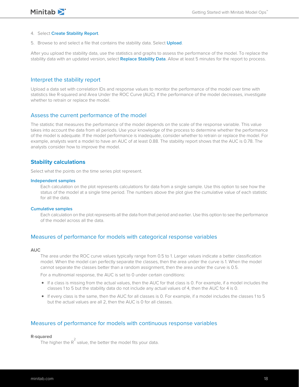#### 4. Select **Create Stability Report**.

5. Browse to and select a file that contains the stability data. Select **Upload**.

After you upload the stability data, use the statistics and graphs to assess the performance of the model. To replace the stability data with an updated version, select **Replace Stability Data**. Allow at least 5 minutes for the report to process.

### <span id="page-17-0"></span>Interpret the stability report

Upload a data set with correlation IDs and response values to monitor the performance of the model over time with statistics like R-squared and Area Under the ROC Curve (AUC). If the performance of the model decreases, investigate whether to retrain or replace the model.

### Assess the current performance of the model

The statistic that measures the performance of the model depends on the scale of the response variable. This value takes into account the data from all periods. Use your knowledge of the process to determine whether the performance of the model is adequate. If the model performance is inadequate, consider whether to retrain or replace the model. For example, analysts want a model to have an AUC of at least 0.88. The stability report shows that the AUC is 0.78. The analysts consider how to improve the model.

### **Stability calculations**

Select what the points on the time series plot represent.

#### **Independent samples**

Each calculation on the plot represents calculations for data from a single sample. Use this option to see how the status of the model at a single time period. The numbers above the plot give the cumulative value of each statistic for all the data.

### **Cumulative samples**

Each calculation on the plot represents all the data from that period and earlier. Use this option to see the performance of the model across all the data.

### Measures of performance for models with categorical response variables

#### **AUC**

The area under the ROC curve values typically range from 0.5 to 1. Larger values indicate a better classification model. When the model can perfectly separate the classes, then the area under the curve is 1. When the model cannot separate the classes better than a random assignment, then the area under the curve is 0.5.

For a multinomial response, the AUC is set to 0 under certain conditions:

- If a class is missing from the actual values, then the AUC for that class is 0. For example, if a model includes the classes 1 to 5 but the stability data do not include any actual values of 4, then the AUC for 4 is 0.
- If every class is the same, then the AUC for all classes is 0. For example, if a model includes the classes 1 to 5 but the actual values are all 2, then the AUC is 0 for all classes.

### Measures of performance for models with continuous response variables

### **R-squared**

ance  $\frac{2}{\pi}$  value, the better the model fits your data.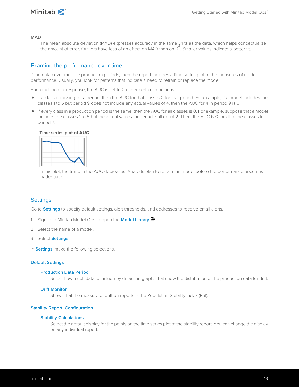

### **MAD**

The mean absolute deviation (MAD) expresses accuracy in the same units as the data, which helps conceptualize the amount of error. Outliers have less of an effect on MAD than on R 2 . Smaller values indicate a better fit.

### Examine the performance over time

If the data cover multiple production periods, then the report includes a time series plot of the measures of model performance. Usually, you look for patterns that indicate a need to retrain or replace the model.

For a multinomial response, the AUC is set to 0 under certain conditions:

- If a class is missing for a period, then the AUC for that class is 0 for that period. For example, if a model includes the classes 1 to 5 but period 9 does not include any actual values of 4, then the AUC for 4 in period 9 is 0.
- If every class in a production period is the same, then the AUC for all classes is 0. For example, suppose that a model includes the classes 1 to 5 but the actual values for period 7 all equal 2. Then, the AUC is 0 for all of the classes in period 7.

#### **Time series plot of AUC**



<span id="page-18-0"></span>In this plot, the trend in the AUC decreases. Analysts plan to retrain the model before the performance becomes inadequate.

### **Settings**

Go to **Settings** to specify default settings, alert thresholds, and addresses to receive email alerts.

- 1. Sign in to Minitab Model Ops to open the **Model Library .**
- 2. Select the name of a model.
- 3. Select **Settings**.
- In **Settings**, make the following selections.

### **Default Settings**

#### **Production Data Period**

Select how much data to include by default in graphs that show the distribution of the production data for drift.

#### **Drift Monitor**

Shows that the measure of drift on reports is the Population Stability Index (PSI).

#### **Stability Report: Configuration**

#### **Stability Calculations**

Select the default display for the points on the time series plot of the stability report. You can change the display on any individual report.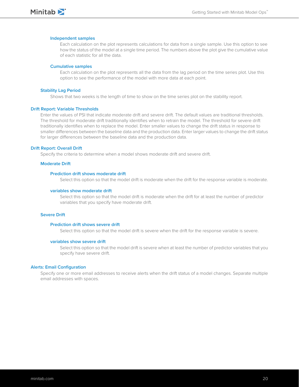



#### **Independent samples**

Each calculation on the plot represents calculations for data from a single sample. Use this option to see how the status of the model at a single time period. The numbers above the plot give the cumulative value of each statistic for all the data.

#### **Cumulative samples**

Each calculation on the plot represents all the data from the lag period on the time series plot. Use this option to see the performance of the model with more data at each point.

### **Stability Lag Period**

Shows that two weeks is the length of time to show on the time series plot on the stability report.

#### **Drift Report: Variable Thresholds**

Enter the values of PSI that indicate moderate drift and severe drift. The default values are traditional thresholds. The threshold for moderate drift traditionally identifies when to retrain the model. The threshold for severe drift traditionally identifies when to replace the model. Enter smaller values to change the drift status in response to smaller differences between the baseline data and the production data. Enter larger values to change the drift status for larger differences between the baseline data and the production data.

### **Drift Report: Overall Drift**

Specify the criteria to determine when a model shows moderate drift and severe drift.

#### **Moderate Drift**

#### **Prediction drift shows moderate drift**

Select this option so that the model drift is moderate when the drift for the response variable is moderate.

#### **variables show moderate drift**

Select this option so that the model drift is moderate when the drift for at least the number of predictor variables that you specify have moderate drift.

### **Severe Drift**

#### **Prediction drift shows severe drift**

Select this option so that the model drift is severe when the drift for the response variable is severe.

### **variables show severe drift**

Select this option so that the model drift is severe when at least the number of predictor variables that you specify have severe drift.

#### **Alerts: Email Configuration**

Specify one or more email addresses to receive alerts when the drift status of a model changes. Separate multiple email addresses with spaces.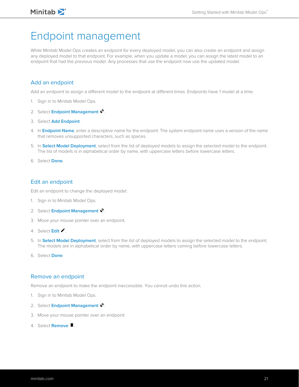## <span id="page-20-0"></span>Endpoint management

While Minitab Model Ops creates an endpoint for every deployed model, you can also create an endpoint and assign any deployed model to that endpoint. For example, when you update a model, you can assign the latest model to an endpoint that had the previous model. Any processes that use the endpoint now use the updated model.

### <span id="page-20-1"></span>Add an endpoint

Add an endpoint to assign a different model to the endpoint at different times. Endpoints have 1 model at a time.

- 1. Sign in to Minitab Model Ops.
- 2. Select **Endpoint Management** .
- 3. Select **Add Endpoint**.
- 4. In **Endpoint Name**, enter a descriptive name for the endpoint. The system endpoint name uses a version of the name that removes unsupported characters, such as spaces.
- 5. In **Select Model Deployment**, select from the list of deployed models to assign the selected model to the endpoint. The list of models is in alphabetical order by name, with uppercase letters before lowercase letters.
- <span id="page-20-2"></span>6. Select **Done**.

### Edit an endpoint

Edit an endpoint to change the deployed model.

- 1. Sign in to Minitab Model Ops.
- 2. Select **Endpoint Management** .
- 3. Move your mouse pointer over an endpoint.
- 4. Select **Edit** .
- <span id="page-20-3"></span>5. In **Select Model Deployment**, select from the list of deployed models to assign the selected model to the endpoint. The models are in alphabetical order by name, with uppercase letters coming before lowercase letters.
- 6. Select **Done**.

### Remove an endpoint

Remove an endpoint to make the endpoint inaccessible. You cannot undo this action.

- 1. Sign in to Minitab Model Ops.
- 2. Select **Endpoint Management** .
- 3. Move your mouse pointer over an endpoint.
- 4. Select **Remove**  $\blacksquare$ .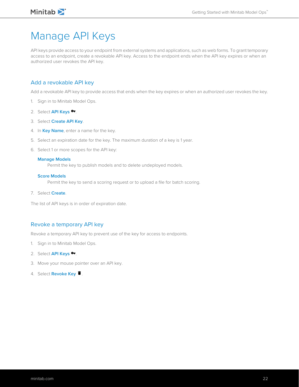## <span id="page-21-0"></span>Manage API Keys

API keys provide access to your endpoint from external systems and applications, such as web forms. To grant temporary access to an endpoint, create a revokable API key. Access to the endpoint ends when the API key expires or when an authorized user revokes the API key.

### <span id="page-21-1"></span>Add a revokable API key

Add a revokable API key to provide access that ends when the key expires or when an authorized user revokes the key.

- 1. Sign in to Minitab Model Ops.
- 2. Select **API Keys &**
- 3. Select **Create API Key**.
- 4. In **Key Name**, enter a name for the key.
- 5. Select an expiration date for the key. The maximum duration of a key is 1 year.
- 6. Select 1 or more scopes for the API key:

### **Manage Models**

Permit the key to publish models and to delete undeployed models.

#### **Score Models**

Permit the key to send a scoring request or to upload a file for batch scoring.

7. Select **Create**.

<span id="page-21-2"></span>The list of API keys is in order of expiration date.

### Revoke a temporary API key

Revoke a temporary API key to prevent use of the key for access to endpoints.

- 1. Sign in to Minitab Model Ops.
- 2. Select **API Keys <sup>o-</sup>**.
- 3. Move your mouse pointer over an API key.
- 4. Select **Revoke Key**  $\blacksquare$ .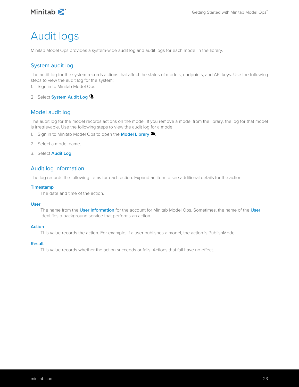### Minitab<sup>></sup>

## <span id="page-22-0"></span>Audit logs

Minitab Model Ops provides a system-wide audit log and audit logs for each model in the library.

### System audit log

The audit log for the system records actions that affect the status of models, endpoints, and API keys. Use the following steps to view the audit log for the system:

- 1. Sign in to Minitab Model Ops.
- 2. Select **System Audit Log** .

### Model audit log

The audit log for the model records actions on the model. If you remove a model from the library, the log for that model is irretrievable. Use the following steps to view the audit log for a model:

- 1. Sign in to Minitab Model Ops to open the **Model Library be**
- 2. Select a model name.
- 3. Select **Audit Log**.

### Audit log information

The log records the following items for each action. Expand an item to see additional details for the action.

### **Timestamp**

The date and time of the action.

### **User**

The name from the **User Information** for the account for Minitab Model Ops. Sometimes, the name of the **User** identifies a background service that performs an action.

### **Action**

This value records the action. For example, if a user publishes a model, the action is PublishModel.

#### **Result**

This value records whether the action succeeds or fails. Actions that fail have no effect.